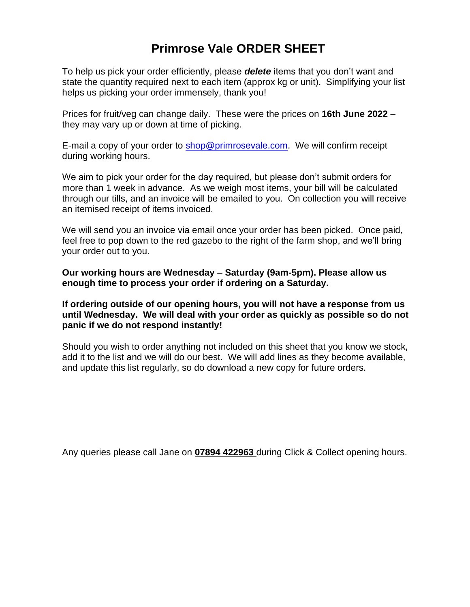# **Primrose Vale ORDER SHEET**

To help us pick your order efficiently, please *delete* items that you don't want and state the quantity required next to each item (approx kg or unit). Simplifying your list helps us picking your order immensely, thank you!

Prices for fruit/veg can change daily. These were the prices on **16th June 2022** – they may vary up or down at time of picking.

E-mail a copy of your order to [shop@primrosevale.com.](mailto:shop@primrosevale.com) We will confirm receipt during working hours.

We aim to pick your order for the day required, but please don't submit orders for more than 1 week in advance. As we weigh most items, your bill will be calculated through our tills, and an invoice will be emailed to you. On collection you will receive an itemised receipt of items invoiced.

We will send you an invoice via email once your order has been picked. Once paid, feel free to pop down to the red gazebo to the right of the farm shop, and we'll bring your order out to you.

**Our working hours are Wednesday – Saturday (9am-5pm). Please allow us enough time to process your order if ordering on a Saturday.**

**If ordering outside of our opening hours, you will not have a response from us until Wednesday. We will deal with your order as quickly as possible so do not panic if we do not respond instantly!**

Should you wish to order anything not included on this sheet that you know we stock, add it to the list and we will do our best. We will add lines as they become available, and update this list regularly, so do download a new copy for future orders.

Any queries please call Jane on **07894 422963** during Click & Collect opening hours.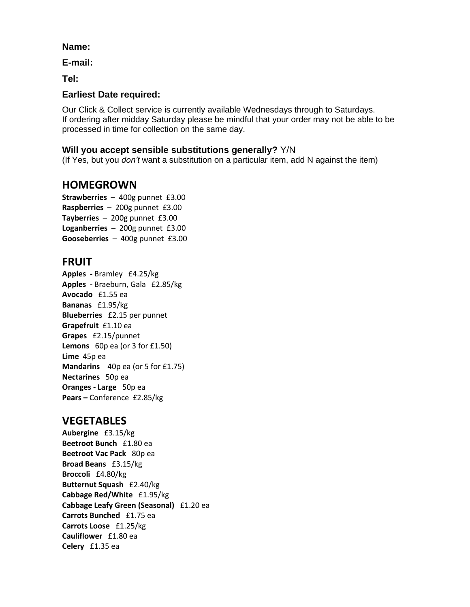#### **Name:**

**E-mail:**

**Tel:**

### **Earliest Date required:**

Our Click & Collect service is currently available Wednesdays through to Saturdays. If ordering after midday Saturday please be mindful that your order may not be able to be processed in time for collection on the same day.

#### **Will you accept sensible substitutions generally?** Y/N

(If Yes, but you *don't* want a substitution on a particular item, add N against the item)

### **HOMEGROWN**

**Strawberries** – 400g punnet £3.00 **Raspberries** – 200g punnet £3.00 **Tayberries** – 200g punnet £3.00 **Loganberries** – 200g punnet £3.00 **Gooseberries** – 400g punnet £3.00

### **FRUIT**

**Apples -** Bramley £4.25/kg **Apples -** Braeburn, Gala £2.85/kg **Avocado** £1.55 ea **Bananas** £1.95/kg **Blueberries** £2.15 per punnet **Grapefruit** £1.10 ea **Grapes** £2.15/punnet **Lemons** 60p ea (or 3 for £1.50) **Lime** 45p ea **Mandarins** 40p ea (or 5 for £1.75) **Nectarines** 50p ea **Oranges - Large** 50p ea **Pears –** Conference £2.85/kg

### **VEGETABLES**

**Aubergine** £3.15/kg **Beetroot Bunch** £1.80 ea **Beetroot Vac Pack** 80p ea **Broad Beans** £3.15/kg **Broccoli** £4.80/kg **Butternut Squash** £2.40/kg **Cabbage Red/White** £1.95/kg **Cabbage Leafy Green (Seasonal)** £1.20 ea **Carrots Bunched** £1.75 ea **Carrots Loose** £1.25/kg **Cauliflower** £1.80 ea **Celery** £1.35 ea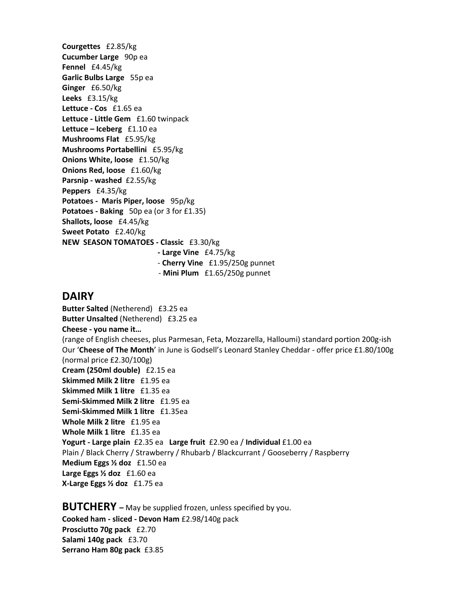**Courgettes** £2.85/kg **Cucumber Large** 90p ea **Fennel** £4.45/kg **Garlic Bulbs Large** 55p ea **Ginger** £6.50/kg **Leeks** £3.15/kg **Lettuce - Cos** £1.65 ea **Lettuce - Little Gem** £1.60 twinpack **Lettuce – Iceberg** £1.10 ea **Mushrooms Flat** £5.95/kg **Mushrooms Portabellini** £5.95/kg **Onions White, loose** £1.50/kg **Onions Red, loose** £1.60/kg **Parsnip - washed** £2.55/kg **Peppers** £4.35/kg **Potatoes - Maris Piper, loose** 95p/kg **Potatoes - Baking** 50p ea (or 3 for £1.35) **Shallots, loose** £4.45/kg **Sweet Potato** £2.40/kg **NEW SEASON TOMATOES - Classic** £3.30/kg

- **- Large Vine** £4.75/kg
- **Cherry Vine** £1.95/250g punnet
- **Mini Plum** £1.65/250g punnet

#### **DAIRY**

**Butter Salted** (Netherend)£3.25 ea **Butter Unsalted** (Netherend)£3.25 ea **Cheese - you name it…**  (range of English cheeses, plus Parmesan, Feta, Mozzarella, Halloumi) standard portion 200g-ish Our '**Cheese of The Month**' in June is Godsell's Leonard Stanley Cheddar - offer price £1.80/100g (normal price £2.30/100g) **Cream (250ml double)** £2.15 ea **Skimmed Milk 2 litre** £1.95 ea **Skimmed Milk 1 litre** £1.35 ea **Semi-Skimmed Milk 2 litre** £1.95 ea **Semi-Skimmed Milk 1 litre** £1.35ea **Whole Milk 2 litre** £1.95 ea **Whole Milk 1 litre** £1.35 ea **Yogurt - Large plain** £2.35 ea **Large fruit** £2.90 ea / **Individual** £1.00 ea Plain / Black Cherry / Strawberry / Rhubarb / Blackcurrant / Gooseberry / Raspberry **Medium Eggs ½ doz** £1.50 ea **Large Eggs ½ doz** £1.60 ea **X-Large Eggs ½ doz** £1.75 ea

**BUTCHERY –** May be supplied frozen, unless specified by you. **Cooked ham - sliced - Devon Ham** £2.98/140g pack **Prosciutto 70g pack** £2.70 **Salami 140g pack** £3.70 **Serrano Ham 80g pack** £3.85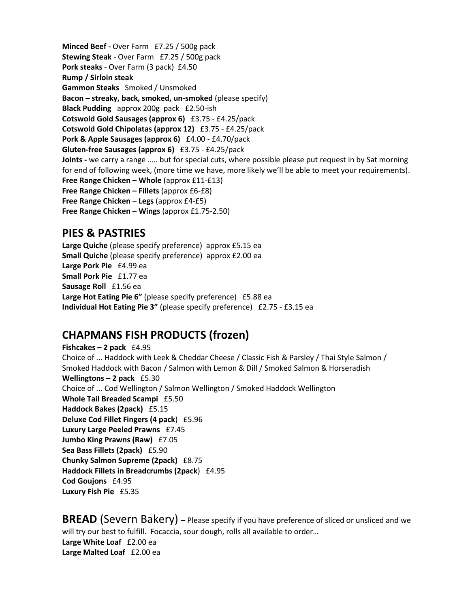**Minced Beef -** Over Farm £7.25 / 500g pack **Stewing Steak** - Over Farm £7.25 / 500g pack **Pork steaks** - Over Farm (3 pack) £4.50 **Rump / Sirloin steak Gammon Steaks** Smoked / Unsmoked **Bacon – streaky, back, smoked, un-smoked** (please specify) **Black Pudding** approx 200g pack £2.50-ish **Cotswold Gold Sausages (approx 6)** £3.75 - £4.25/pack **Cotswold Gold Chipolatas (approx 12)** £3.75 - £4.25/pack **Pork & Apple Sausages (approx 6)** £4.00 - £4.70/pack **Gluten-free Sausages (approx 6)** £3.75 - £4.25/pack **Joints -** we carry a range ….. but for special cuts, where possible please put request in by Sat morning for end of following week, (more time we have, more likely we'll be able to meet your requirements). **Free Range Chicken – Whole** (approx £11-£13) **Free Range Chicken – Fillets** (approx £6-£8) **Free Range Chicken – Legs** (approx £4-£5) **Free Range Chicken – Wings** (approx £1.75-2.50)

### **PIES & PASTRIES**

**Large Quiche** (please specify preference) approx £5.15 ea **Small Quiche** (please specify preference) approx £2.00 ea **Large Pork Pie** £4.99 ea **Small Pork Pie** £1.77 ea **Sausage Roll** £1.56 ea **Large Hot Eating Pie 6"** (please specify preference) £5.88 ea **Individual Hot Eating Pie 3"** (please specify preference) £2.75 - £3.15 ea

### **CHAPMANS FISH PRODUCTS (frozen)**

**Fishcakes – 2 pack** £4.95 Choice of ... Haddock with Leek & Cheddar Cheese / Classic Fish & Parsley / Thai Style Salmon / Smoked Haddock with Bacon / Salmon with Lemon & Dill / Smoked Salmon & Horseradish **Wellingtons – 2 pack** £5.30 Choice of ... Cod Wellington / Salmon Wellington / Smoked Haddock Wellington **Whole Tail Breaded Scampi** £5.50 **Haddock Bakes (2pack)** £5.15 **Deluxe Cod Fillet Fingers (4 pack**) £5.96 **Luxury Large Peeled Prawns** £7.45 **Jumbo King Prawns (Raw)** £7.05 **Sea Bass Fillets (2pack)** £5.90 **Chunky Salmon Supreme (2pack)** £8.75 **Haddock Fillets in Breadcrumbs (2pack**) £4.95 **Cod Goujons** £4.95 **Luxury Fish Pie** £5.35

**BREAD** (Severn Bakery) – Please specify if you have preference of sliced or unsliced and we will try our best to fulfill. Focaccia, sour dough, rolls all available to order... **Large White Loaf** £2.00 ea **Large Malted Loaf** £2.00 ea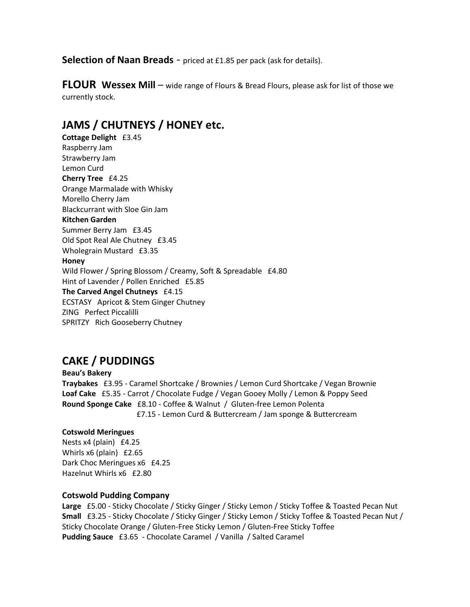**Selection of Naan Breads** - priced at £1.85 per pack (ask for details).

**FLOUR Wessex Mill** – wide range of Flours & Bread Flours, please ask for list of those we currently stock.

# **JAMS / CHUTNEYS / HONEY etc.**

**Cottage Delight** £3.45 Raspberry Jam Strawberry Jam Lemon Curd **Cherry Tree** £4.25 Orange Marmalade with Whisky Morello Cherry Jam Blackcurrant with Sloe Gin Jam **Kitchen Garden**  Summer Berry Jam £3.45 Old Spot Real Ale Chutney £3.45 Wholegrain Mustard £3.35 **Honey**  Wild Flower / Spring Blossom / Creamy, Soft & Spreadable £4.80 Hint of Lavender / Pollen Enriched £5.85 **The Carved Angel Chutneys** £4.15 ECSTASY Apricot & Stem Ginger Chutney ZING Perfect Piccalilli SPRITZY Rich Gooseberry Chutney

# **CAKE / PUDDINGS**

**Beau's Bakery Traybakes** £3.95 - Caramel Shortcake / Brownies / Lemon Curd Shortcake / Vegan Brownie **Loaf Cake** £5.35 - Carrot / Chocolate Fudge / Vegan Gooey Molly / Lemon & Poppy Seed **Round Sponge Cake** £8.10 - Coffee & Walnut / Gluten-free Lemon Polenta £7.15 - Lemon Curd & Buttercream / Jam sponge & Buttercream

#### **Cotswold Meringues**

Nests x4 (plain) £4.25 Whirls x6 (plain) £2.65 Dark Choc Meringues x6 £4.25 Hazelnut Whirls x6 £2.80

#### **Cotswold Pudding Company**

**Large** £5.00 - Sticky Chocolate / Sticky Ginger / Sticky Lemon / Sticky Toffee & Toasted Pecan Nut **Small** £3.25 - Sticky Chocolate / Sticky Ginger / Sticky Lemon / Sticky Toffee & Toasted Pecan Nut / Sticky Chocolate Orange / Gluten-Free Sticky Lemon / Gluten-Free Sticky Toffee **Pudding Sauce** £3.65 - Chocolate Caramel / Vanilla / Salted Caramel